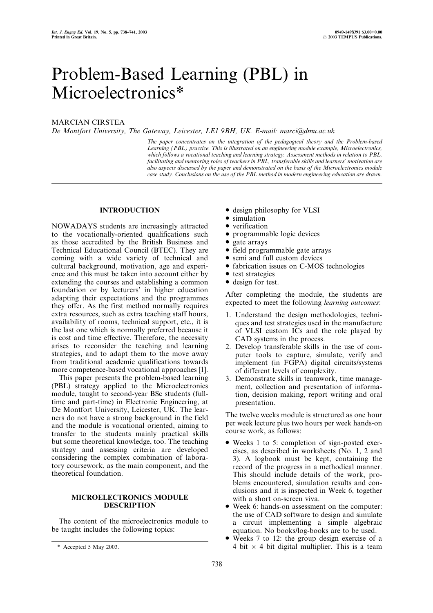# Problem-Based Learning (PBL) in Microelectronics\*

## MARCIAN CIRSTEA

De Montfort University, The Gateway, Leicester, LE1 9BH, UK. E-mail: marci@dmu.ac.uk

The paper concentrates on the integration of the pedagogical theory and the Problem-based Learning (PBL) practice. This is illustrated on an engineering module example, Microelectronics, which follows a vocational teaching and learning strategy. Assessment methods in relation to PBL, facilitating and mentoring roles of teachers in PBL, transferable skills and learners' motivation are also aspects discussed by the paper and demonstrated on the basis of the Microelectronics module case study. Conclusions on the use of the PBL method in modern engineering education are drawn.

## INTRODUCTION

NOWADAYS students are increasingly attracted to the vocationally-oriented qualifications such as those accredited by the British Business and Technical Educational Council (BTEC). They are coming with a wide variety of technical and cultural background, motivation, age and experience and this must be taken into account either by extending the courses and establishing a common foundation or by lecturers' in higher education adapting their expectations and the programmes they offer. As the first method normally requires extra resources, such as extra teaching staff hours, availability of rooms, technical support, etc., it is the last one which is normally preferred because it is cost and time effective. Therefore, the necessity arises to reconsider the teaching and learning strategies, and to adapt them to the move away from traditional academic qualifications towards more competence-based vocational approaches [1].

This paper presents the problem-based learning (PBL) strategy applied to the Microelectronics module, taught to second-year BSc students (fulltime and part-time) in Electronic Engineering, at De Montfort University, Leicester, UK. The learners do not have a strong background in the field and the module is vocational oriented, aiming to transfer to the students mainly practical skills but some theoretical knowledge, too. The teaching strategy and assessing criteria are developed considering the complex combination of laboratory coursework, as the main component, and the theoretical foundation.

## MICROELECTRONICS MODULE DESCRIPTION

The content of the microelectronics module to be taught includes the following topics:

- . design philosophy for VLSI
- simulation
- verification
- programmable logic devices
- gate arrays
- . field programmable gate arrays
- . semi and full custom devices
- . fabrication issues on C-MOS technologies
- test strategies
- . design for test.

After completing the module, the students are expected to meet the following learning outcomes:

- 1. Understand the design methodologies, techniques and test strategies used in the manufacture of VLSI custom ICs and the role played by CAD systems in the process.
- 2. Develop transferable skills in the use of computer tools to capture, simulate, verify and implement (in FGPA) digital circuits/systems of different levels of complexity.
- 3. Demonstrate skills in teamwork, time management, collection and presentation of information, decision making, report writing and oral presentation.

The twelve weeks module is structured as one hour per week lecture plus two hours per week hands-on course work, as follows:

- . Weeks 1 to 5: completion of sign-posted exercises, as described in worksheets (No. 1, 2 and 3). A logbook must be kept, containing the record of the progress in a methodical manner. This should include details of the work, problems encountered, simulation results and conclusions and it is inspected in Week 6, together with a short on-screen viva.
- . Week 6: hands-on assessment on the computer: the use of CAD software to design and simulate a circuit implementing a simple algebraic equation. No books/log-books are to be used.
- . Weeks 7 to 12: the group design exercise of a 4 bit  $\times$  4 bit digital multiplier. This is a team

 $*$  Accepted 5 May 2003.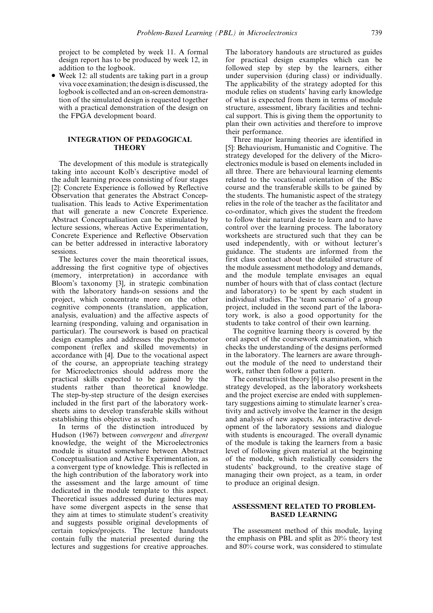project to be completed by week 11. A formal design report has to be produced by week 12, in addition to the logbook.

. Week 12: all students are taking part in a group viva voce examination; the design is discussed, the logbook is collected and an on-screen demonstration of the simulated design is requested together with a practical demonstration of the design on the FPGA development board.

## INTEGRATION OF PEDAGOGICAL **THEORY**

The development of this module is strategically taking into account Kolb's descriptive model of the adult learning process consisting of four stages [2]: Concrete Experience is followed by Reflective Observation that generates the Abstract Conceptualisation. This leads to Active Experimentation that will generate a new Concrete Experience. Abstract Conceptualisation can be stimulated by lecture sessions, whereas Active Experimentation, Concrete Experience and Reflective Observation can be better addressed in interactive laboratory sessions.

The lectures cover the main theoretical issues, addressing the first cognitive type of objectives (memory, interpretation) in accordance with Bloom's taxonomy [3], in strategic combination with the laboratory hands-on sessions and the project, which concentrate more on the other cognitive components (translation, application, analysis, evaluation) and the affective aspects of learning (responding, valuing and organisation in particular). The coursework is based on practical design examples and addresses the psychomotor component (reflex and skilled movements) in accordance with [4]. Due to the vocational aspect of the course, an appropriate teaching strategy for Microelectronics should address more the practical skills expected to be gained by the students rather than theoretical knowledge. The step-by-step structure of the design exercises included in the first part of the laboratory worksheets aims to develop transferable skills without establishing this objective as such.

In terms of the distinction introduced by Hudson (1967) between convergent and divergent knowledge, the weight of the Microelectronics module is situated somewhere between Abstract Conceptualisation and Active Experimentation, as a convergent type of knowledge. This is reflected in the high contribution of the laboratory work into the assessment and the large amount of time dedicated in the module template to this aspect. Theoretical issues addressed during lectures may have some divergent aspects in the sense that they aim at times to stimulate student's creativity and suggests possible original developments of certain topics/projects. The lecture handouts contain fully the material presented during the lectures and suggestions for creative approaches. The laboratory handouts are structured as guides for practical design examples which can be followed step by step by the learners, either under supervision (during class) or individually. The applicability of the strategy adopted for this module relies on students' having early knowledge of what is expected from them in terms of module structure, assessment, library facilities and technical support. This is giving them the opportunity to plan their own activities and therefore to improve their performance.

Three major learning theories are identified in [5]: Behaviourism, Humanistic and Cognitive. The strategy developed for the delivery of the Microelectronics module is based on elements included in all three. There are behavioural learning elements related to the vocational orientation of the BSc course and the transferable skills to be gained by the students. The humanistic aspect of the strategy relies in the role of the teacher as the facilitator and co-ordinator, which gives the student the freedom to follow their natural desire to learn and to have control over the learning process. The laboratory worksheets are structured such that they can be used independently, with or without lecturer's guidance. The students are informed from the first class contact about the detailed structure of the module assessment methodology and demands, and the module template envisages an equal number of hours with that of class contact (lecture and laboratory) to be spent by each student in individual studies. The `team scenario' of a group project, included in the second part of the laboratory work, is also a good opportunity for the students to take control of their own learning.

The cognitive learning theory is covered by the oral aspect of the coursework examination, which checks the understanding of the designs performed in the laboratory. The learners are aware throughout the module of the need to understand their work, rather then follow a pattern.

The constructivist theory [6] is also present in the strategy developed, as the laboratory worksheets and the project exercise are ended with supplementary suggestions aiming to stimulate learner's creativity and actively involve the learner in the design and analysis of new aspects. An interactive development of the laboratory sessions and dialogue with students is encouraged. The overall dynamic of the module is taking the learners from a basic level of following given material at the beginning of the module, which realistically considers the students' background, to the creative stage of managing their own project, as a team, in order to produce an original design.

## ASSESSMENT RELATED TO PROBLEM-BASED LEARNING

The assessment method of this module, laying the emphasis on PBL and split as 20% theory test and 80% course work, was considered to stimulate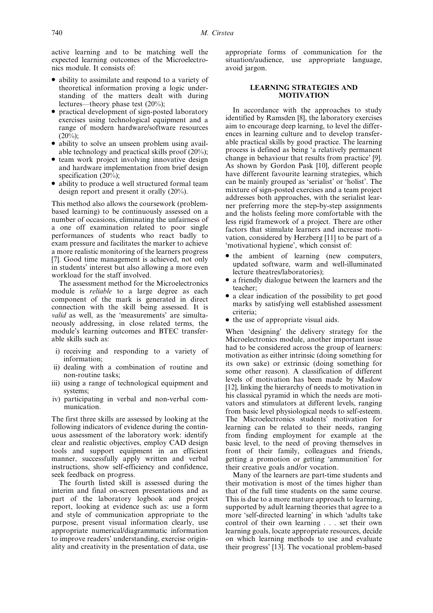active learning and to be matching well the expected learning outcomes of the Microelectronics module. It consists of:

- . ability to assimilate and respond to a variety of theoretical information proving a logic understanding of the matters dealt with during lectures—theory phase test  $(20\%)$ ;
- . practical development of sign-posted laboratory exercises using technological equipment and a range of modern hardware/software resources  $(20\%)$ ;
- . ability to solve an unseen problem using available technology and practical skills proof (20%);
- team work project involving innovative design and hardware implementation from brief design specification (20%);
- . ability to produce a well structured formal team design report and present it orally (20%).

This method also allows the coursework (problembased learning) to be continuously assessed on a number of occasions, eliminating the unfairness of a one off examination related to poor single performances of students who react badly to exam pressure and facilitates the marker to achieve a more realistic monitoring of the learners progress [7]. Good time management is achieved, not only in students' interest but also allowing a more even workload for the staff involved.

The assessment method for the Microelectronics module is reliable to a large degree as each component of the mark is generated in direct connection with the skill being assessed. It is valid as well, as the `measurements' are simultaneously addressing, in close related terms, the module's learning outcomes and BTEC transferable skills such as:

- i) receiving and responding to a variety of information;
- ii) dealing with a combination of routine and non-routine tasks;
- iii) using a range of technological equipment and systems;
- iv) participating in verbal and non-verbal communication.

The first three skills are assessed by looking at the following indicators of evidence during the continuous assessment of the laboratory work: identify clear and realistic objectives, employ CAD design tools and support equipment in an efficient manner, successfully apply written and verbal instructions, show self-efficiency and confidence, seek feedback on progress.

The fourth listed skill is assessed during the interim and final on-screen presentations and as part of the laboratory logbook and project report, looking at evidence such as: use a form and style of communication appropriate to the purpose, present visual information clearly, use appropriate numerical/diagrammatic information to improve readers' understanding, exercise originality and creativity in the presentation of data, use appropriate forms of communication for the situation/audience, use appropriate language, avoid jargon.

#### LEARNING STRATEGIES AND MOTIVATION

In accordance with the approaches to study identified by Ramsden [8], the laboratory exercises aim to encourage deep learning, to level the differences in learning culture and to develop transferable practical skills by good practice. The learning process is defined as being `a relatively permanent change in behaviour that results from practice' [9]. As shown by Gordon Pask [10], different people have different favourite learning strategies, which can be mainly grouped as `serialist' or `holist'. The mixture of sign-posted exercises and a team project addresses both approaches, with the serialist learner preferring more the step-by-step assignments and the holists feeling more comfortable with the less rigid framework of a project. There are other factors that stimulate learners and increase motivation, considered by Herzberg [11] to be part of a `motivational hygiene', which consist of:

- the ambient of learning (new computers, updated software, warm and well-illuminated lecture theatres/laboratories);
- . a friendly dialogue between the learners and the teacher;
- . a clear indication of the possibility to get good marks by satisfying well established assessment criteria;
- the use of appropriate visual aids.

When 'designing' the delivery strategy for the Microelectronics module, another important issue had to be considered across the group of learners: motivation as either intrinsic (doing something for its own sake) or extrinsic (doing something for some other reason). A classification of different levels of motivation has been made by Maslow [12], linking the hierarchy of needs to motivation in his classical pyramid in which the needs are motivators and stimulators at different levels, ranging from basic level physiological needs to self-esteem. The Microelectronics students' motivation for learning can be related to their needs, ranging from finding employment for example at the basic level, to the need of proving themselves in front of their family, colleagues and friends, getting a promotion or getting `ammunition' for their creative goals and/or vocation.

Many of the learners are part-time students and their motivation is most of the times higher than that of the full time students on the same course. This is due to a more mature approach to learning, supported by adult learning theories that agree to a more `self-directed learning' in which `adults take control of their own learning . . . set their own learning goals, locate appropriate resources, decide on which learning methods to use and evaluate their progress' [13]. The vocational problem-based